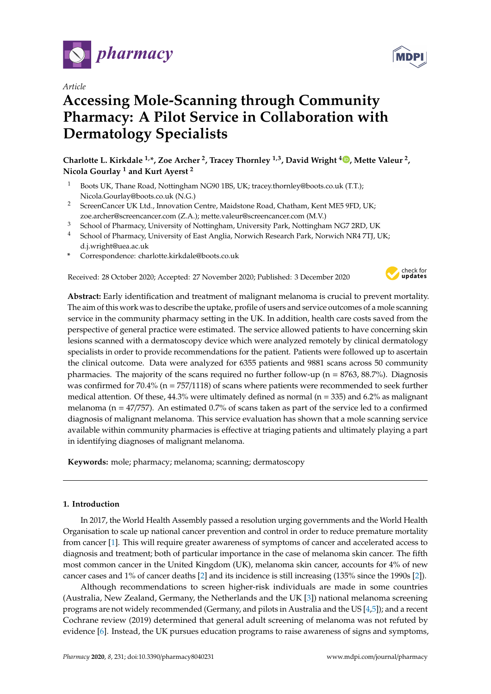

*Article*

# **Accessing Mole-Scanning through Community Pharmacy: A Pilot Service in Collaboration with Dermatology Specialists**

**Charlotte L. Kirkdale 1,\*, Zoe Archer <sup>2</sup> , Tracey Thornley 1,3, David Wright <sup>4</sup> [,](https://orcid.org/0000-0003-3690-9593) Mette Valeur <sup>2</sup> , Nicola Gourlay <sup>1</sup> and Kurt Ayerst <sup>2</sup>**

- <sup>1</sup> Boots UK, Thane Road, Nottingham NG90 1BS, UK; tracey.thornley@boots.co.uk (T.T.); Nicola.Gourlay@boots.co.uk (N.G.)
- <sup>2</sup> ScreenCancer UK Ltd., Innovation Centre, Maidstone Road, Chatham, Kent ME5 9FD, UK: zoe.archer@screencancer.com (Z.A.); mette.valeur@screencancer.com (M.V.)
- <sup>3</sup> School of Pharmacy, University of Nottingham, University Park, Nottingham NG7 2RD, UK
- <sup>4</sup> School of Pharmacy, University of East Anglia, Norwich Research Park, Norwich NR4 7TJ, UK; d.j.wright@uea.ac.uk
- **\*** Correspondence: charlotte.kirkdale@boots.co.uk

Received: 28 October 2020; Accepted: 27 November 2020; Published: 3 December 2020



**Abstract:** Early identification and treatment of malignant melanoma is crucial to prevent mortality. The aim of this work was to describe the uptake, profile of users and service outcomes of a mole scanning service in the community pharmacy setting in the UK. In addition, health care costs saved from the perspective of general practice were estimated. The service allowed patients to have concerning skin lesions scanned with a dermatoscopy device which were analyzed remotely by clinical dermatology specialists in order to provide recommendations for the patient. Patients were followed up to ascertain the clinical outcome. Data were analyzed for 6355 patients and 9881 scans across 50 community pharmacies. The majority of the scans required no further follow-up ( $n = 8763, 88.7\%$ ). Diagnosis was confirmed for  $70.4\%$  (n =  $757/1118$ ) of scans where patients were recommended to seek further medical attention. Of these,  $44.3\%$  were ultimately defined as normal (n = 335) and 6.2% as malignant melanoma ( $n = 47/757$ ). An estimated 0.7% of scans taken as part of the service led to a confirmed diagnosis of malignant melanoma. This service evaluation has shown that a mole scanning service available within community pharmacies is effective at triaging patients and ultimately playing a part in identifying diagnoses of malignant melanoma.

**Keywords:** mole; pharmacy; melanoma; scanning; dermatoscopy

## **1. Introduction**

In 2017, the World Health Assembly passed a resolution urging governments and the World Health Organisation to scale up national cancer prevention and control in order to reduce premature mortality from cancer [\[1\]](#page-6-0). This will require greater awareness of symptoms of cancer and accelerated access to diagnosis and treatment; both of particular importance in the case of melanoma skin cancer. The fifth most common cancer in the United Kingdom (UK), melanoma skin cancer, accounts for 4% of new cancer cases and 1% of cancer deaths [\[2\]](#page-6-1) and its incidence is still increasing (135% since the 1990s [\[2\]](#page-6-1)).

Although recommendations to screen higher-risk individuals are made in some countries (Australia, New Zealand, Germany, the Netherlands and the UK [\[3\]](#page-7-0)) national melanoma screening programs are not widely recommended (Germany, and pilots in Australia and the US [\[4,](#page-7-1)[5\]](#page-7-2)); and a recent Cochrane review (2019) determined that general adult screening of melanoma was not refuted by evidence [\[6\]](#page-7-3). Instead, the UK pursues education programs to raise awareness of signs and symptoms,

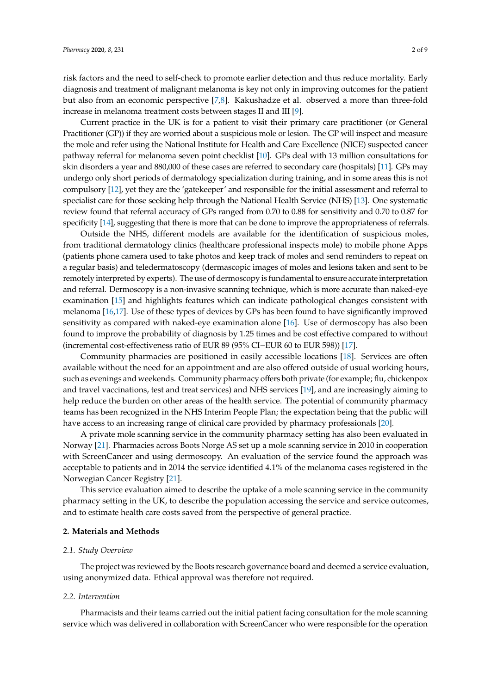risk factors and the need to self-check to promote earlier detection and thus reduce mortality. Early diagnosis and treatment of malignant melanoma is key not only in improving outcomes for the patient but also from an economic perspective [\[7,](#page-7-4)[8\]](#page-7-5). Kakushadze et al. observed a more than three-fold increase in melanoma treatment costs between stages II and III [\[9\]](#page-7-6).

Current practice in the UK is for a patient to visit their primary care practitioner (or General Practitioner (GP)) if they are worried about a suspicious mole or lesion. The GP will inspect and measure the mole and refer using the National Institute for Health and Care Excellence (NICE) suspected cancer pathway referral for melanoma seven point checklist [\[10\]](#page-7-7). GPs deal with 13 million consultations for skin disorders a year and 880,000 of these cases are referred to secondary care (hospitals) [\[11\]](#page-7-8). GPs may undergo only short periods of dermatology specialization during training, and in some areas this is not compulsory [\[12\]](#page-7-9), yet they are the 'gatekeeper' and responsible for the initial assessment and referral to specialist care for those seeking help through the National Health Service (NHS) [\[13\]](#page-7-10). One systematic review found that referral accuracy of GPs ranged from 0.70 to 0.88 for sensitivity and 0.70 to 0.87 for specificity [\[14\]](#page-7-11), suggesting that there is more that can be done to improve the appropriateness of referrals.

Outside the NHS, different models are available for the identification of suspicious moles, from traditional dermatology clinics (healthcare professional inspects mole) to mobile phone Apps (patients phone camera used to take photos and keep track of moles and send reminders to repeat on a regular basis) and teledermatoscopy (dermascopic images of moles and lesions taken and sent to be remotely interpreted by experts). The use of dermoscopy is fundamental to ensure accurate interpretation and referral. Dermoscopy is a non-invasive scanning technique, which is more accurate than naked-eye examination [\[15\]](#page-7-12) and highlights features which can indicate pathological changes consistent with melanoma [\[16,](#page-7-13)[17\]](#page-7-14). Use of these types of devices by GPs has been found to have significantly improved sensitivity as compared with naked-eye examination alone [\[16\]](#page-7-13). Use of dermoscopy has also been found to improve the probability of diagnosis by 1.25 times and be cost effective compared to without (incremental cost-effectiveness ratio of EUR 89 (95% CI−EUR 60 to EUR 598)) [\[17\]](#page-7-14).

Community pharmacies are positioned in easily accessible locations [\[18\]](#page-7-15). Services are often available without the need for an appointment and are also offered outside of usual working hours, such as evenings and weekends. Community pharmacy offers both private (for example; flu, chickenpox and travel vaccinations, test and treat services) and NHS services [\[19\]](#page-7-16), and are increasingly aiming to help reduce the burden on other areas of the health service. The potential of community pharmacy teams has been recognized in the NHS Interim People Plan; the expectation being that the public will have access to an increasing range of clinical care provided by pharmacy professionals [\[20\]](#page-7-17).

A private mole scanning service in the community pharmacy setting has also been evaluated in Norway [\[21\]](#page-7-18). Pharmacies across Boots Norge AS set up a mole scanning service in 2010 in cooperation with ScreenCancer and using dermoscopy. An evaluation of the service found the approach was acceptable to patients and in 2014 the service identified 4.1% of the melanoma cases registered in the Norwegian Cancer Registry [\[21\]](#page-7-18).

This service evaluation aimed to describe the uptake of a mole scanning service in the community pharmacy setting in the UK, to describe the population accessing the service and service outcomes, and to estimate health care costs saved from the perspective of general practice.

#### **2. Materials and Methods**

#### *2.1. Study Overview*

The project was reviewed by the Boots research governance board and deemed a service evaluation, using anonymized data. Ethical approval was therefore not required.

#### *2.2. Intervention*

Pharmacists and their teams carried out the initial patient facing consultation for the mole scanning service which was delivered in collaboration with ScreenCancer who were responsible for the operation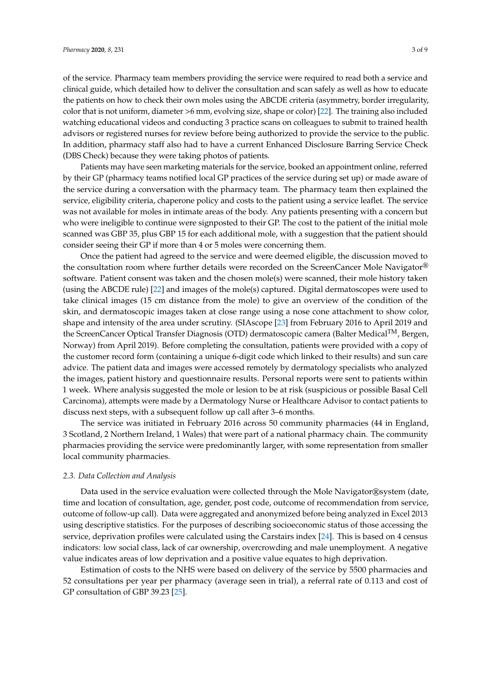of the service. Pharmacy team members providing the service were required to read both a service and clinical guide, which detailed how to deliver the consultation and scan safely as well as how to educate the patients on how to check their own moles using the ABCDE criteria (asymmetry, border irregularity, color that is not uniform, diameter >6 mm, evolving size, shape or color) [\[22\]](#page-7-19). The training also included watching educational videos and conducting 3 practice scans on colleagues to submit to trained health advisors or registered nurses for review before being authorized to provide the service to the public. In addition, pharmacy staff also had to have a current Enhanced Disclosure Barring Service Check (DBS Check) because they were taking photos of patients.

Patients may have seen marketing materials for the service, booked an appointment online, referred by their GP (pharmacy teams notified local GP practices of the service during set up) or made aware of the service during a conversation with the pharmacy team. The pharmacy team then explained the service, eligibility criteria, chaperone policy and costs to the patient using a service leaflet. The service was not available for moles in intimate areas of the body. Any patients presenting with a concern but who were ineligible to continue were signposted to their GP. The cost to the patient of the initial mole scanned was GBP 35, plus GBP 15 for each additional mole, with a suggestion that the patient should consider seeing their GP if more than 4 or 5 moles were concerning them.

Once the patient had agreed to the service and were deemed eligible, the discussion moved to the consultation room where further details were recorded on the ScreenCancer Mole Navigator<sup>®</sup> software. Patient consent was taken and the chosen mole(s) were scanned, their mole history taken (using the ABCDE rule) [\[22\]](#page-7-19) and images of the mole(s) captured. Digital dermatoscopes were used to take clinical images (15 cm distance from the mole) to give an overview of the condition of the skin, and dermatoscopic images taken at close range using a nose cone attachment to show color, shape and intensity of the area under scrutiny. (SIAscope [\[23\]](#page-7-20) from February 2016 to April 2019 and the ScreenCancer Optical Transfer Diagnosis (OTD) dermatoscopic camera (Balter Medical<sup>TM</sup>, Bergen, Norway) from April 2019). Before completing the consultation, patients were provided with a copy of the customer record form (containing a unique 6-digit code which linked to their results) and sun care advice. The patient data and images were accessed remotely by dermatology specialists who analyzed the images, patient history and questionnaire results. Personal reports were sent to patients within 1 week. Where analysis suggested the mole or lesion to be at risk (suspicious or possible Basal Cell Carcinoma), attempts were made by a Dermatology Nurse or Healthcare Advisor to contact patients to discuss next steps, with a subsequent follow up call after 3–6 months.

The service was initiated in February 2016 across 50 community pharmacies (44 in England, 3 Scotland, 2 Northern Ireland, 1 Wales) that were part of a national pharmacy chain. The community pharmacies providing the service were predominantly larger, with some representation from smaller local community pharmacies.

#### *2.3. Data Collection and Analysis*

Data used in the service evaluation were collected through the Mole Navigator®system (date, time and location of consultation, age, gender, post code, outcome of recommendation from service, outcome of follow-up call). Data were aggregated and anonymized before being analyzed in Excel 2013 using descriptive statistics. For the purposes of describing socioeconomic status of those accessing the service, deprivation profiles were calculated using the Carstairs index [\[24\]](#page-7-21). This is based on 4 census indicators: low social class, lack of car ownership, overcrowding and male unemployment. A negative value indicates areas of low deprivation and a positive value equates to high deprivation.

Estimation of costs to the NHS were based on delivery of the service by 5500 pharmacies and 52 consultations per year per pharmacy (average seen in trial), a referral rate of 0.113 and cost of GP consultation of GBP 39.23 [\[25\]](#page-8-0).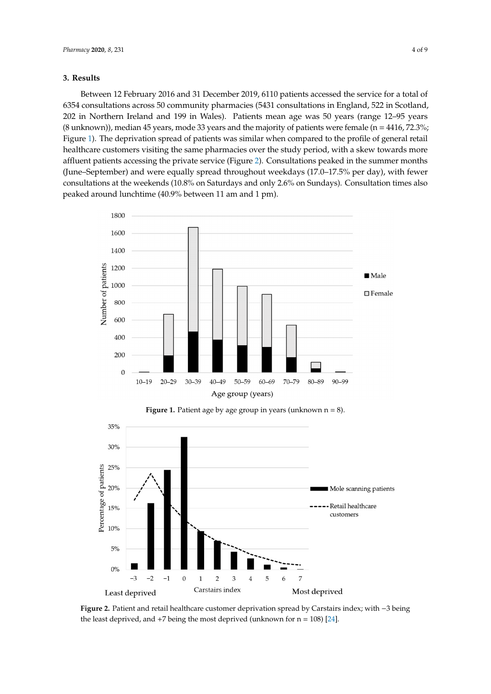#### **3. Results 3. Results**

Between 12 February 2016 and 31 December 2019, 6110 patients accessed the service for a total of 6354 consultations across 50 community pharmacies (5431 consultations in England, 522 in Scotland, 202 in Northern Ireland and 199 in Wales). Patients mean age was 50 years (range 12-95 years (8 unknown)), median 45 years, mode 33 years and the majority of patients were female ( $n = 4416$ , 72.3%; Figure 1). The deprivation spread of patients was similar when compared to the profile of general retail healthcare customers visiting the same pharmacies over the study period, with a skew towards more affluent patients accessing the private service (Figure [2\)](#page-3-1). Consultations peaked in the summer months (June–September) and were equally spread throughout weekdays (17.0–17.5% per day), with fewer consultations at the weekends  $(10.8\%$  on Saturdays and only 2.6% on Sundays). Consultation times also peaked around lunchtime (40.9% between 11 am and 1 pm). e 1). The deprivation spread of patients was similar when compared to the profile of general r<br> Between 12 February 2016 and 31 December 2019, 6110 patients accessed the service for a total  $\frac{C_1}{C_2}$  and  $\frac{C_2}{C_1}$  between  $\frac{C_1}{C_2}$  and  $\frac{C_1}{C_1}$  and  $\frac{C_2}{C_2}$  and  $\frac{C_1}{C_1}$  pm). The summary  $\frac{C_1}{C_1}$ 

<span id="page-3-0"></span>

**Figure 1.** Patient age by age group in years (unknown n = 8).

<span id="page-3-1"></span>

**Figure 2.** Patient and retail healthcare customer deprivation spread by Carstairs index; with −3 being the least deprived, and  $+7$  being the most deprived (unknown for  $n = 108$ ) [\[24\]](#page-7-21).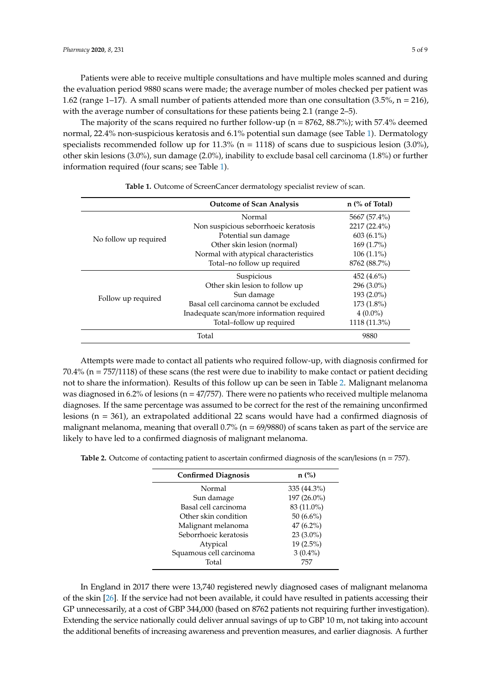Patients were able to receive multiple consultations and have multiple moles scanned and during the evaluation period 9880 scans were made; the average number of moles checked per patient was 1.62 (range 1–17). A small number of patients attended more than one consultation (3.5%, n = 216), with the average number of consultations for these patients being 2.1 (range 2–5).

The majority of the scans required no further follow-up ( $n = 8762, 88.7\%$ ); with 57.4% deemed normal, 22.4% non-suspicious keratosis and 6.1% potential sun damage (see Table [1\)](#page-4-0). Dermatology specialists recommended follow up for 11.3% ( $n = 1118$ ) of scans due to suspicious lesion (3.0%), other skin lesions (3.0%), sun damage (2.0%), inability to exclude basal cell carcinoma (1.8%) or further information required (four scans; see Table [1\)](#page-4-0).

<span id="page-4-0"></span>

|                       | <b>Outcome of Scan Analysis</b>           | $n$ (% of Total) |
|-----------------------|-------------------------------------------|------------------|
| No follow up required | Normal                                    | 5667 (57.4%)     |
|                       | Non suspicious seborrhoeic keratosis      | 2217 (22.4%)     |
|                       | Potential sun damage                      | $603(6.1\%)$     |
|                       | Other skin lesion (normal)                | $169(1.7\%)$     |
|                       | Normal with atypical characteristics      | $106(1.1\%)$     |
|                       | Total-no follow up required               | 8762 (88.7%)     |
| Follow up required    | Suspicious                                | 452 $(4.6\%)$    |
|                       | Other skin lesion to follow up            | $296(3.0\%)$     |
|                       | Sun damage                                | $193(2.0\%)$     |
|                       | Basal cell carcinoma cannot be excluded   | $173(1.8\%)$     |
|                       | Inadequate scan/more information required | $4(0.0\%)$       |
|                       | Total-follow up required                  | 1118 (11.3%)     |
|                       | Total                                     | 9880             |

**Table 1.** Outcome of ScreenCancer dermatology specialist review of scan.

Attempts were made to contact all patients who required follow-up, with diagnosis confirmed for 70.4% (n = 757/1118) of these scans (the rest were due to inability to make contact or patient deciding not to share the information). Results of this follow up can be seen in Table [2.](#page-4-1) Malignant melanoma was diagnosed in 6.2% of lesions ( $n = 47/757$ ). There were no patients who received multiple melanoma diagnoses. If the same percentage was assumed to be correct for the rest of the remaining unconfirmed lesions (n = 361), an extrapolated additional 22 scans would have had a confirmed diagnosis of malignant melanoma, meaning that overall  $0.7%$  (n = 69/9880) of scans taken as part of the service are likely to have led to a confirmed diagnosis of malignant melanoma.

<span id="page-4-1"></span>**Table 2.** Outcome of contacting patient to ascertain confirmed diagnosis of the scan/lesions (n = 757).

| <b>Confirmed Diagnosis</b> | $n$ (%)      |
|----------------------------|--------------|
| Normal                     | 335 (44.3%)  |
| Sun damage                 | 197 (26.0%)  |
| Basal cell carcinoma       | 83 (11.0%)   |
| Other skin condition       | 50 $(6.6\%)$ |
| Malignant melanoma         | $47(6.2\%)$  |
| Seborrhoeic keratosis      | $23(3.0\%)$  |
| Atypical                   | $19(2.5\%)$  |
| Squamous cell carcinoma    | $3(0.4\%)$   |
| Total                      | 757          |

In England in 2017 there were 13,740 registered newly diagnosed cases of malignant melanoma of the skin [\[26\]](#page-8-1). If the service had not been available, it could have resulted in patients accessing their GP unnecessarily, at a cost of GBP 344,000 (based on 8762 patients not requiring further investigation). Extending the service nationally could deliver annual savings of up to GBP 10 m, not taking into account the additional benefits of increasing awareness and prevention measures, and earlier diagnosis. A further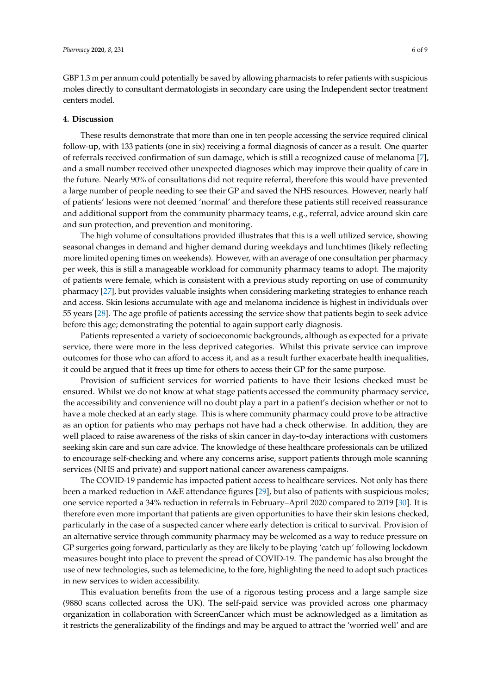GBP 1.3 m per annum could potentially be saved by allowing pharmacists to refer patients with suspicious moles directly to consultant dermatologists in secondary care using the Independent sector treatment centers model.

#### **4. Discussion**

These results demonstrate that more than one in ten people accessing the service required clinical follow-up, with 133 patients (one in six) receiving a formal diagnosis of cancer as a result. One quarter of referrals received confirmation of sun damage, which is still a recognized cause of melanoma [\[7\]](#page-7-4), and a small number received other unexpected diagnoses which may improve their quality of care in the future. Nearly 90% of consultations did not require referral, therefore this would have prevented a large number of people needing to see their GP and saved the NHS resources. However, nearly half of patients' lesions were not deemed 'normal' and therefore these patients still received reassurance and additional support from the community pharmacy teams, e.g., referral, advice around skin care and sun protection, and prevention and monitoring.

The high volume of consultations provided illustrates that this is a well utilized service, showing seasonal changes in demand and higher demand during weekdays and lunchtimes (likely reflecting more limited opening times on weekends). However, with an average of one consultation per pharmacy per week, this is still a manageable workload for community pharmacy teams to adopt. The majority of patients were female, which is consistent with a previous study reporting on use of community pharmacy [\[27\]](#page-8-2), but provides valuable insights when considering marketing strategies to enhance reach and access. Skin lesions accumulate with age and melanoma incidence is highest in individuals over 55 years [\[28\]](#page-8-3). The age profile of patients accessing the service show that patients begin to seek advice before this age; demonstrating the potential to again support early diagnosis.

Patients represented a variety of socioeconomic backgrounds, although as expected for a private service, there were more in the less deprived categories. Whilst this private service can improve outcomes for those who can afford to access it, and as a result further exacerbate health inequalities, it could be argued that it frees up time for others to access their GP for the same purpose.

Provision of sufficient services for worried patients to have their lesions checked must be ensured. Whilst we do not know at what stage patients accessed the community pharmacy service, the accessibility and convenience will no doubt play a part in a patient's decision whether or not to have a mole checked at an early stage. This is where community pharmacy could prove to be attractive as an option for patients who may perhaps not have had a check otherwise. In addition, they are well placed to raise awareness of the risks of skin cancer in day-to-day interactions with customers seeking skin care and sun care advice. The knowledge of these healthcare professionals can be utilized to encourage self-checking and where any concerns arise, support patients through mole scanning services (NHS and private) and support national cancer awareness campaigns.

The COVID-19 pandemic has impacted patient access to healthcare services. Not only has there been a marked reduction in A&E attendance figures [\[29\]](#page-8-4), but also of patients with suspicious moles; one service reported a 34% reduction in referrals in February–April 2020 compared to 2019 [\[30\]](#page-8-5). It is therefore even more important that patients are given opportunities to have their skin lesions checked, particularly in the case of a suspected cancer where early detection is critical to survival. Provision of an alternative service through community pharmacy may be welcomed as a way to reduce pressure on GP surgeries going forward, particularly as they are likely to be playing 'catch up' following lockdown measures bought into place to prevent the spread of COVID-19. The pandemic has also brought the use of new technologies, such as telemedicine, to the fore, highlighting the need to adopt such practices in new services to widen accessibility.

This evaluation benefits from the use of a rigorous testing process and a large sample size (9880 scans collected across the UK). The self-paid service was provided across one pharmacy organization in collaboration with ScreenCancer which must be acknowledged as a limitation as it restricts the generalizability of the findings and may be argued to attract the 'worried well' and are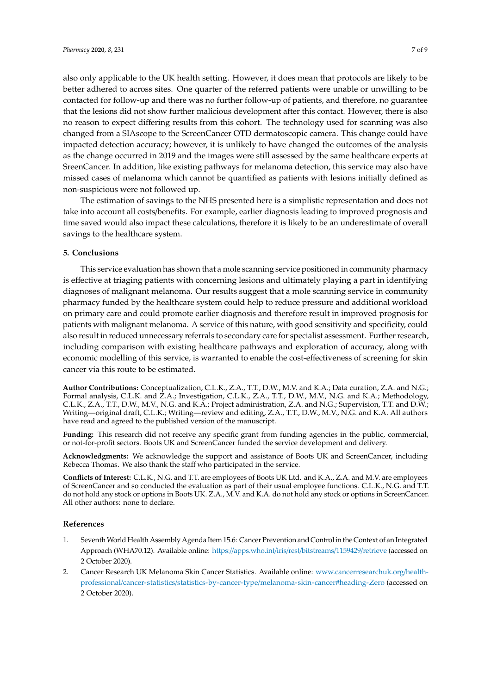also only applicable to the UK health setting. However, it does mean that protocols are likely to be better adhered to across sites. One quarter of the referred patients were unable or unwilling to be contacted for follow-up and there was no further follow-up of patients, and therefore, no guarantee that the lesions did not show further malicious development after this contact. However, there is also no reason to expect differing results from this cohort. The technology used for scanning was also changed from a SIAscope to the ScreenCancer OTD dermatoscopic camera. This change could have impacted detection accuracy; however, it is unlikely to have changed the outcomes of the analysis as the change occurred in 2019 and the images were still assessed by the same healthcare experts at SreenCancer. In addition, like existing pathways for melanoma detection, this service may also have missed cases of melanoma which cannot be quantified as patients with lesions initially defined as non-suspicious were not followed up.

The estimation of savings to the NHS presented here is a simplistic representation and does not take into account all costs/benefits. For example, earlier diagnosis leading to improved prognosis and time saved would also impact these calculations, therefore it is likely to be an underestimate of overall savings to the healthcare system.

### **5. Conclusions**

This service evaluation has shown that a mole scanning service positioned in community pharmacy is effective at triaging patients with concerning lesions and ultimately playing a part in identifying diagnoses of malignant melanoma. Our results suggest that a mole scanning service in community pharmacy funded by the healthcare system could help to reduce pressure and additional workload on primary care and could promote earlier diagnosis and therefore result in improved prognosis for patients with malignant melanoma. A service of this nature, with good sensitivity and specificity, could also result in reduced unnecessary referrals to secondary care for specialist assessment. Further research, including comparison with existing healthcare pathways and exploration of accuracy, along with economic modelling of this service, is warranted to enable the cost-effectiveness of screening for skin cancer via this route to be estimated.

**Author Contributions:** Conceptualization, C.L.K., Z.A., T.T., D.W., M.V. and K.A.; Data curation, Z.A. and N.G.; Formal analysis, C.L.K. and  $\hat{Z}A$ .; Investigation, C.L.K., Z.A., T.T., D.W., M.V., N.G. and K.A.; Methodology, C.L.K., Z.A., T.T., D.W., M.V., N.G. and K.A.; Project administration, Z.A. and N.G.; Supervision, T.T. and D.W.; Writing—original draft, C.L.K.; Writing—review and editing, Z.A., T.T., D.W., M.V., N.G. and K.A. All authors have read and agreed to the published version of the manuscript.

**Funding:** This research did not receive any specific grant from funding agencies in the public, commercial, or not-for-profit sectors. Boots UK and ScreenCancer funded the service development and delivery.

**Acknowledgments:** We acknowledge the support and assistance of Boots UK and ScreenCancer, including Rebecca Thomas. We also thank the staff who participated in the service.

**Conflicts of Interest:** C.L.K., N.G. and T.T. are employees of Boots UK Ltd. and K.A., Z.A. and M.V. are employees of ScreenCancer and so conducted the evaluation as part of their usual employee functions. C.L.K., N.G. and T.T. do not hold any stock or options in Boots UK. Z.A., M.V. and K.A. do not hold any stock or options in ScreenCancer. All other authors: none to declare.

#### **References**

- <span id="page-6-0"></span>1. SeventhWorld Health Assembly Agenda Item 15.6: Cancer Prevention and Control in the Context of an Integrated Approach (WHA70.12). Available online: https://[apps.who.int](https://apps.who.int/iris/rest/bitstreams/1159429/retrieve)/iris/rest/bitstreams/1159429/retrieve (accessed on 2 October 2020).
- <span id="page-6-1"></span>2. Cancer Research UK Melanoma Skin Cancer Statistics. Available online: [www.cancerresearchuk.org](www.cancerresearchuk.org/health-professional/cancer-statistics/statistics-by-cancer-type/melanoma-skin-cancer#heading-Zero)/healthprofessional/cancer-statistics/statistics-by-cancer-type/[melanoma-skin-cancer#heading-Zero](www.cancerresearchuk.org/health-professional/cancer-statistics/statistics-by-cancer-type/melanoma-skin-cancer#heading-Zero) (accessed on 2 October 2020).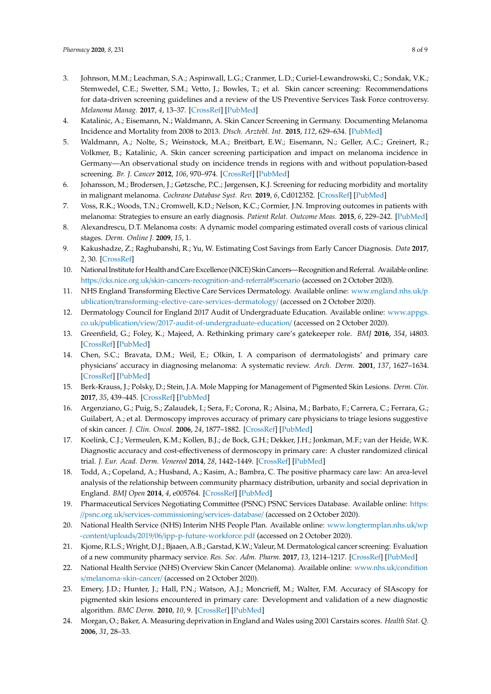- <span id="page-7-0"></span>3. Johnson, M.M.; Leachman, S.A.; Aspinwall, L.G.; Cranmer, L.D.; Curiel-Lewandrowski, C.; Sondak, V.K.; Stemwedel, C.E.; Swetter, S.M.; Vetto, J.; Bowles, T.; et al. Skin cancer screening: Recommendations for data-driven screening guidelines and a review of the US Preventive Services Task Force controversy. *Melanoma Manag.* **2017**, *4*, 13–37. [\[CrossRef\]](http://dx.doi.org/10.2217/mmt-2016-0022) [\[PubMed\]](http://www.ncbi.nlm.nih.gov/pubmed/28758010)
- <span id="page-7-1"></span>4. Katalinic, A.; Eisemann, N.; Waldmann, A. Skin Cancer Screening in Germany. Documenting Melanoma Incidence and Mortality from 2008 to 2013. *Dtsch. Arztebl. Int.* **2015**, *112*, 629–634. [\[PubMed\]](http://www.ncbi.nlm.nih.gov/pubmed/26429634)
- <span id="page-7-2"></span>5. Waldmann, A.; Nolte, S.; Weinstock, M.A.; Breitbart, E.W.; Eisemann, N.; Geller, A.C.; Greinert, R.; Volkmer, B.; Katalinic, A. Skin cancer screening participation and impact on melanoma incidence in Germany—An observational study on incidence trends in regions with and without population-based screening. *Br. J. Cancer* **2012**, *106*, 970–974. [\[CrossRef\]](http://dx.doi.org/10.1038/bjc.2012.22) [\[PubMed\]](http://www.ncbi.nlm.nih.gov/pubmed/22294187)
- <span id="page-7-3"></span>6. Johansson, M.; Brodersen, J.; Gøtzsche, P.C.; Jørgensen, K.J. Screening for reducing morbidity and mortality in malignant melanoma. *Cochrane Database Syst. Rev.* **2019**, *6*, Cd012352. [\[CrossRef\]](http://dx.doi.org/10.1002/14651858.CD012352.pub2) [\[PubMed\]](http://www.ncbi.nlm.nih.gov/pubmed/31157404)
- <span id="page-7-4"></span>7. Voss, R.K.; Woods, T.N.; Cromwell, K.D.; Nelson, K.C.; Cormier, J.N. Improving outcomes in patients with melanoma: Strategies to ensure an early diagnosis. *Patient Relat. Outcome Meas.* **2015**, *6*, 229–242. [\[PubMed\]](http://www.ncbi.nlm.nih.gov/pubmed/26609248)
- <span id="page-7-5"></span>8. Alexandrescu, D.T. Melanoma costs: A dynamic model comparing estimated overall costs of various clinical stages. *Derm. Online J.* **2009**, *15*, 1.
- <span id="page-7-6"></span>9. Kakushadze, Z.; Raghubanshi, R.; Yu, W. Estimating Cost Savings from Early Cancer Diagnosis. *Data* **2017**, *2*, 30. [\[CrossRef\]](http://dx.doi.org/10.3390/data2030030)
- <span id="page-7-7"></span>10. National Institute forHealth and Care Excellence (NICE) Skin Cancers—Recognition and Referral. Available online: https://cks.nice.org.uk/[skin-cancers-recognition-and-referral#!scenario](https://cks.nice.org.uk/skin-cancers-recognition-and-referral#!scenario) (accessed on 2 October 2020).
- <span id="page-7-8"></span>11. NHS England Transforming Elective Care Services Dermatology. Available online: [www.england.nhs.uk](www.england.nhs.uk/publication/transforming-elective-care-services-dermatology/)/p ublication/[transforming-elective-care-services-dermatology](www.england.nhs.uk/publication/transforming-elective-care-services-dermatology/)/ (accessed on 2 October 2020).
- <span id="page-7-9"></span>12. Dermatology Council for England 2017 Audit of Undergraduate Education. Available online: [www.appgs.](www.appgs.co.uk/publication/view/2017-audit-of-undergraduate-education/) co.uk/publication/view/[2017-audit-of-undergraduate-education](www.appgs.co.uk/publication/view/2017-audit-of-undergraduate-education/)/ (accessed on 2 October 2020).
- <span id="page-7-10"></span>13. Greenfield, G.; Foley, K.; Majeed, A. Rethinking primary care's gatekeeper role. *BMJ* **2016**, *354*, i4803. [\[CrossRef\]](http://dx.doi.org/10.1136/bmj.i4803) [\[PubMed\]](http://www.ncbi.nlm.nih.gov/pubmed/27662893)
- <span id="page-7-11"></span>14. Chen, S.C.; Bravata, D.M.; Weil, E.; Olkin, I. A comparison of dermatologists' and primary care physicians' accuracy in diagnosing melanoma: A systematic review. *Arch. Derm.* **2001**, *137*, 1627–1634. [\[CrossRef\]](http://dx.doi.org/10.1001/archderm.137.12.1627) [\[PubMed\]](http://www.ncbi.nlm.nih.gov/pubmed/11735713)
- <span id="page-7-12"></span>15. Berk-Krauss, J.; Polsky, D.; Stein, J.A. Mole Mapping for Management of Pigmented Skin Lesions. *Derm. Clin.* **2017**, *35*, 439–445. [\[CrossRef\]](http://dx.doi.org/10.1016/j.det.2017.06.004) [\[PubMed\]](http://www.ncbi.nlm.nih.gov/pubmed/28886799)
- <span id="page-7-13"></span>16. Argenziano, G.; Puig, S.; Zalaudek, I.; Sera, F.; Corona, R.; Alsina, M.; Barbato, F.; Carrera, C.; Ferrara, G.; Guilabert, A.; et al. Dermoscopy improves accuracy of primary care physicians to triage lesions suggestive of skin cancer. *J. Clin. Oncol.* **2006**, *24*, 1877–1882. [\[CrossRef\]](http://dx.doi.org/10.1200/JCO.2005.05.0864) [\[PubMed\]](http://www.ncbi.nlm.nih.gov/pubmed/16622262)
- <span id="page-7-14"></span>17. Koelink, C.J.; Vermeulen, K.M.; Kollen, B.J.; de Bock, G.H.; Dekker, J.H.; Jonkman, M.F.; van der Heide, W.K. Diagnostic accuracy and cost-effectiveness of dermoscopy in primary care: A cluster randomized clinical trial. *J. Eur. Acad. Derm. Venereol* **2014**, *28*, 1442–1449. [\[CrossRef\]](http://dx.doi.org/10.1111/jdv.12306) [\[PubMed\]](http://www.ncbi.nlm.nih.gov/pubmed/25493316)
- <span id="page-7-15"></span>18. Todd, A.; Copeland, A.; Husband, A.; Kasim, A.; Bambra, C. The positive pharmacy care law: An area-level analysis of the relationship between community pharmacy distribution, urbanity and social deprivation in England. *BMJ Open* **2014**, *4*, e005764. [\[CrossRef\]](http://dx.doi.org/10.1136/bmjopen-2014-005764) [\[PubMed\]](http://www.ncbi.nlm.nih.gov/pubmed/25116456)
- <span id="page-7-16"></span>19. Pharmaceutical Services Negotiating Committee (PSNC) PSNC Services Database. Available online: [https:](https://psnc.org.uk/services-commissioning/services-database/) //psnc.org.uk/[services-commissioning](https://psnc.org.uk/services-commissioning/services-database/)/services-database/ (accessed on 2 October 2020).
- <span id="page-7-17"></span>20. National Health Service (NHS) Interim NHS People Plan. Available online: [www.longtermplan.nhs.uk](www.longtermplan.nhs.uk/wp-content/uploads/2019/06/ipp-p-future-workforce.pdf)/wp -content/uploads/2019/06/[ipp-p-future-workforce.pdf](www.longtermplan.nhs.uk/wp-content/uploads/2019/06/ipp-p-future-workforce.pdf) (accessed on 2 October 2020).
- <span id="page-7-18"></span>21. Kjome, R.L.S.; Wright, D.J.; Bjaaen, A.B.; Garstad, K.W.; Valeur, M. Dermatological cancer screening: Evaluation of a new community pharmacy service. *Res. Soc. Adm. Pharm.* **2017**, *13*, 1214–1217. [\[CrossRef\]](http://dx.doi.org/10.1016/j.sapharm.2016.12.001) [\[PubMed\]](http://www.ncbi.nlm.nih.gov/pubmed/27964893)
- <span id="page-7-19"></span>22. National Health Service (NHS) Overview Skin Cancer (Melanoma). Available online: [www.nhs.uk](www.nhs.uk/conditions/melanoma-skin-cancer/)/condition s/[melanoma-skin-cancer](www.nhs.uk/conditions/melanoma-skin-cancer/)/ (accessed on 2 October 2020).
- <span id="page-7-20"></span>23. Emery, J.D.; Hunter, J.; Hall, P.N.; Watson, A.J.; Moncrieff, M.; Walter, F.M. Accuracy of SIAscopy for pigmented skin lesions encountered in primary care: Development and validation of a new diagnostic algorithm. *BMC Derm.* **2010**, *10*, 9. [\[CrossRef\]](http://dx.doi.org/10.1186/1471-5945-10-9) [\[PubMed\]](http://www.ncbi.nlm.nih.gov/pubmed/20868511)
- <span id="page-7-21"></span>24. Morgan, O.; Baker, A. Measuring deprivation in England and Wales using 2001 Carstairs scores. *Health Stat. Q.* **2006**, *31*, 28–33.